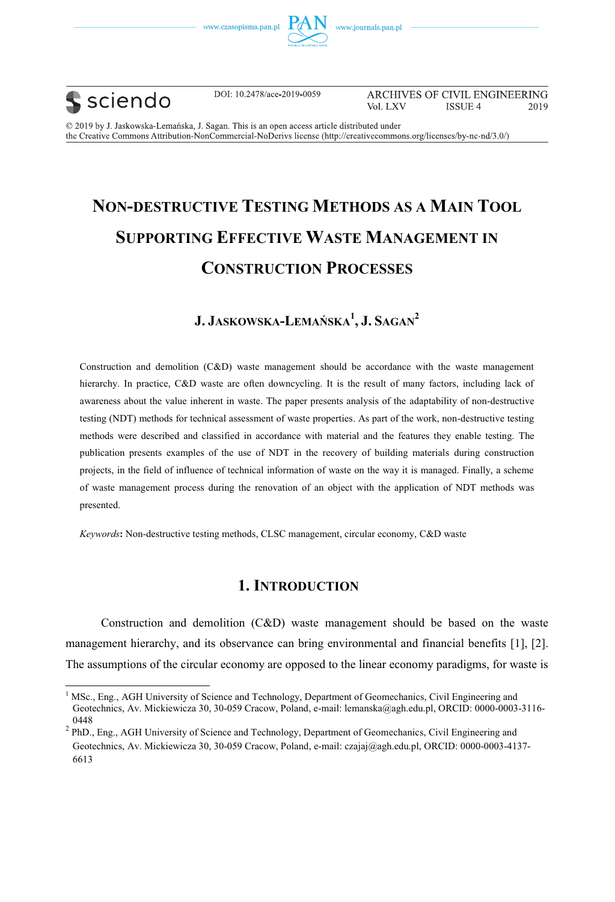





 $\overline{a}$ 

DOI: 10.2478/ace-2019-0059

ARCHIVES OF CIVIL ENGINEERING Vol. LXV **ISSUE 4** 2019

© 2019 by J. Jaskowska-Lemańska, J. Sagan. This is an open access article distributed under the Creative Commons Attribution-NonCommercial-NoDerivs license (http://creativecommons.org/licenses/by-nc-nd/3.0/)

# **NON-DESTRUCTIVE TESTING METHODS AS A MAIN TOOL SUPPORTING EFFECTIVE WASTE MANAGEMENT IN CONSTRUCTION PROCESSES**

### **J. JASKOWSKA-LEMAŃSKA<sup>1</sup> , J. SAGAN2**

Construction and demolition (C&D) waste management should be accordance with the waste management hierarchy. In practice, C&D waste are often downcycling. It is the result of many factors, including lack of awareness about the value inherent in waste. The paper presents analysis of the adaptability of non-destructive testing (NDT) methods for technical assessment of waste properties. As part of the work, non-destructive testing methods were described and classified in accordance with material and the features they enable testing. The publication presents examples of the use of NDT in the recovery of building materials during construction projects, in the field of influence of technical information of waste on the way it is managed. Finally, a scheme of waste management process during the renovation of an object with the application of NDT methods was presented.

*Keywords***:** Non-destructive testing methods, CLSC management, circular economy, C&D waste

### **1. INTRODUCTION**

Construction and demolition (C&D) waste management should be based on the waste management hierarchy, and its observance can bring environmental and financial benefits [1], [2]. The assumptions of the circular economy are opposed to the linear economy paradigms, for waste is

<sup>&</sup>lt;sup>1</sup> MSc., Eng., AGH University of Science and Technology, Department of Geomechanics, Civil Engineering and Geotechnics, Av. Mickiewicza 30, 30-059 Cracow, Poland, e-mail: lemanska@agh.edu.pl, ORCID: 0000-0003-3116- 0448

<sup>&</sup>lt;sup>2</sup> PhD., Eng., AGH University of Science and Technology, Department of Geomechanics, Civil Engineering and Geotechnics, Av. Mickiewicza 30, 30-059 Cracow, Poland, e-mail: czajaj@agh.edu.pl, ORCID: 0000-0003-4137- 6613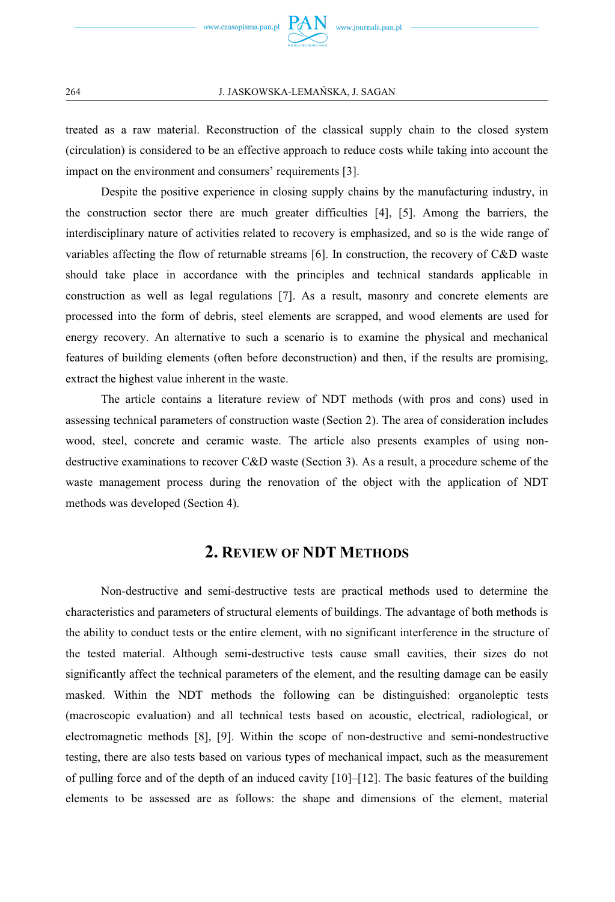

treated as a raw material. Reconstruction of the classical supply chain to the closed system (circulation) is considered to be an effective approach to reduce costs while taking into account the impact on the environment and consumers' requirements [3].

Despite the positive experience in closing supply chains by the manufacturing industry, in the construction sector there are much greater difficulties [4], [5]. Among the barriers, the interdisciplinary nature of activities related to recovery is emphasized, and so is the wide range of variables affecting the flow of returnable streams [6]. In construction, the recovery of C&D waste should take place in accordance with the principles and technical standards applicable in construction as well as legal regulations [7]. As a result, masonry and concrete elements are processed into the form of debris, steel elements are scrapped, and wood elements are used for energy recovery. An alternative to such a scenario is to examine the physical and mechanical features of building elements (often before deconstruction) and then, if the results are promising, extract the highest value inherent in the waste.

The article contains a literature review of NDT methods (with pros and cons) used in assessing technical parameters of construction waste (Section 2). The area of consideration includes wood, steel, concrete and ceramic waste. The article also presents examples of using nondestructive examinations to recover C&D waste (Section 3). As a result, a procedure scheme of the waste management process during the renovation of the object with the application of NDT methods was developed (Section 4).

### **2. REVIEW OF NDT METHODS**

Non-destructive and semi-destructive tests are practical methods used to determine the characteristics and parameters of structural elements of buildings. The advantage of both methods is the ability to conduct tests or the entire element, with no significant interference in the structure of the tested material. Although semi-destructive tests cause small cavities, their sizes do not significantly affect the technical parameters of the element, and the resulting damage can be easily masked. Within the NDT methods the following can be distinguished: organoleptic tests (macroscopic evaluation) and all technical tests based on acoustic, electrical, radiological, or electromagnetic methods [8], [9]. Within the scope of non-destructive and semi-nondestructive testing, there are also tests based on various types of mechanical impact, such as the measurement of pulling force and of the depth of an induced cavity [10]–[12]. The basic features of the building elements to be assessed are as follows: the shape and dimensions of the element, material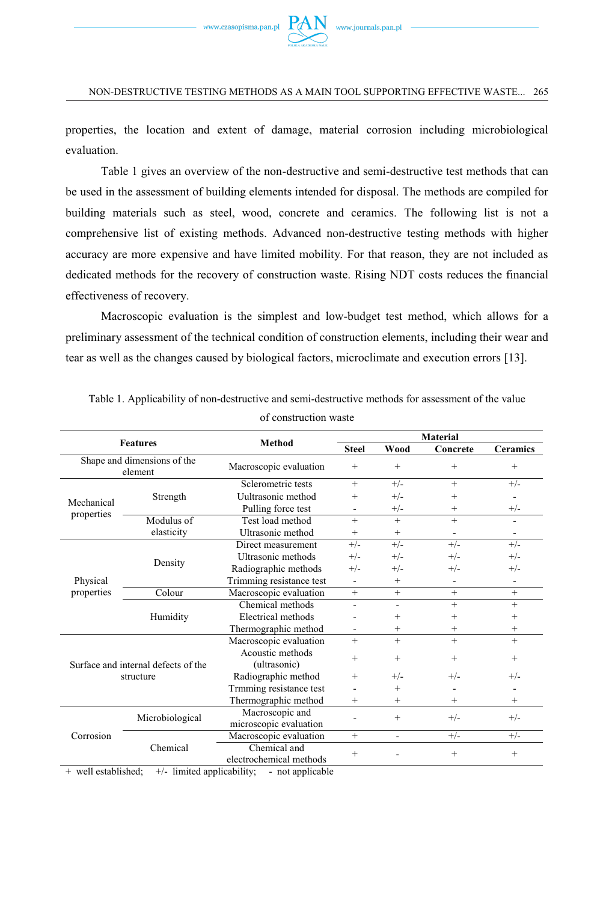

properties, the location and extent of damage, material corrosion including microbiological evaluation.

Table 1 gives an overview of the non-destructive and semi-destructive test methods that can be used in the assessment of building elements intended for disposal. The methods are compiled for building materials such as steel, wood, concrete and ceramics. The following list is not a comprehensive list of existing methods. Advanced non-destructive testing methods with higher accuracy are more expensive and have limited mobility. For that reason, they are not included as dedicated methods for the recovery of construction waste. Rising NDT costs reduces the financial effectiveness of recovery.

Macroscopic evaluation is the simplest and low-budget test method, which allows for a preliminary assessment of the technical condition of construction elements, including their wear and tear as well as the changes caused by biological factors, microclimate and execution errors [13].

|                                                  | Material        |                                           |                    |                          |                          |                              |
|--------------------------------------------------|-----------------|-------------------------------------------|--------------------|--------------------------|--------------------------|------------------------------|
| <b>Features</b>                                  |                 | Method                                    | <b>Steel</b>       | Wood                     | Concrete                 | <b>Ceramics</b>              |
| Shape and dimensions of the<br>element           |                 | Macroscopic evaluation                    | $+$                | $^{+}$                   | $+$                      | $\! + \!\!\!\!$              |
| Mechanical<br>properties                         | Strength        | Sclerometric tests                        | $+$                | $+/-$                    | $+$                      | $+/-$                        |
|                                                  |                 | Uultrasonic method                        | $+$                | $+/-$                    | $+$                      |                              |
|                                                  |                 | Pulling force test                        |                    | $+/-$                    | $+$                      | $+/-$                        |
|                                                  | Modulus of      | Test load method                          | $+$                | $+$                      | $+$                      | $\overline{\phantom{a}}$     |
|                                                  | elasticity      | Ultrasonic method                         | $^{+}$             | $+$                      |                          |                              |
| Physical<br>properties                           | Density         | Direct measurement                        | $+/-$              | $+/-$                    | $+/-$                    | $+/-$                        |
|                                                  |                 | Ultrasonic methods                        | $+/-$              | $+/-$                    | $+/-$                    | $+/-$                        |
|                                                  |                 | Radiographic methods                      | $+/-$              | $+/-$                    | $+/-$                    | $+/-$                        |
|                                                  |                 | Trimming resistance test                  | $\blacksquare$     | $+$                      | $\overline{\phantom{a}}$ | $\qquad \qquad \blacksquare$ |
|                                                  | Colour          | Macroscopic evaluation                    | $+$                | $+$                      | $+$                      | $+$                          |
|                                                  | Humidity        | Chemical methods                          |                    | $\overline{\phantom{a}}$ | $+$                      | $\ddot{}$                    |
|                                                  |                 | Electrical methods                        |                    | $^{+}$                   | $+$                      | $^{+}$                       |
|                                                  |                 | Thermographic method                      |                    | $^{+}$                   | $^{+}$                   | $\ddag$                      |
| Surface and internal defects of the<br>structure |                 | Macroscopic evaluation                    | $+$                | $+$                      | $+$                      | $^{+}$                       |
|                                                  |                 | Acoustic methods<br>(ultrasonic)          | $^{+}$             | $\ddot{}$                | $+$                      | $\ddot{}$                    |
|                                                  |                 | Radiographic method                       | $+$                | $+/-$                    | $+/-$                    | $+/-$                        |
|                                                  |                 | Trmming resistance test                   |                    | $^{+}$                   |                          |                              |
|                                                  |                 | Thermographic method                      | $+$                | $+$                      | $+$                      | $\ddot{}$                    |
| Corrosion                                        | Microbiological | Macroscopic and<br>microscopic evaluation |                    | $+$                      | $+/-$                    | $+/-$                        |
|                                                  | Chemical        | Macroscopic evaluation                    | $+$                | $\overline{\phantom{a}}$ | $+/-$                    | $+/-$                        |
|                                                  |                 | Chemical and<br>electrochemical methods   | $\hspace{0.1mm} +$ |                          | $+$                      | $\! + \!\!\!\!$              |

Table 1. Applicability of non-destructive and semi-destructive methods for assessment of the value

of construction waste

+ well established; +/- limited applicability; - not applicable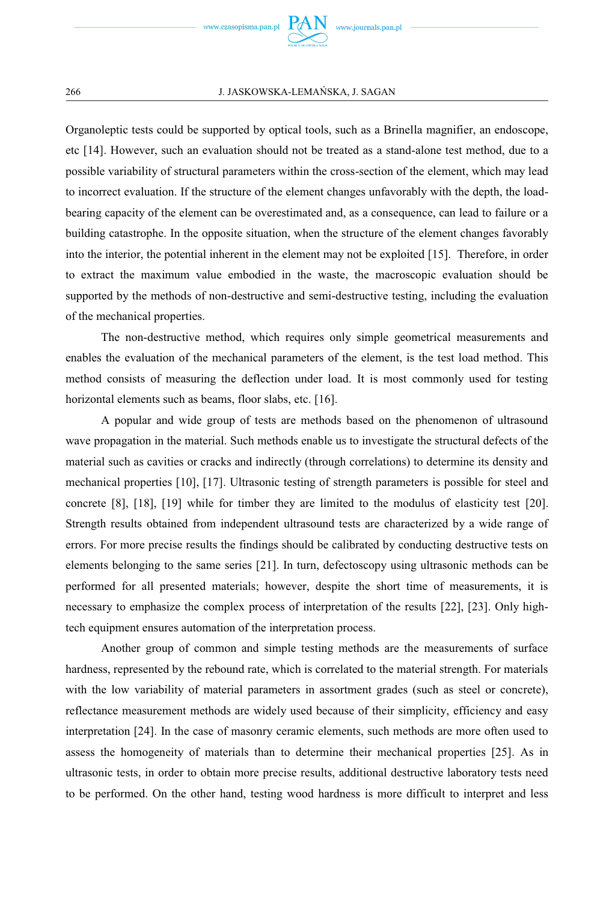

#### 266 J. JASKOWSKA-LEMAŃSKA, J. SAGAN

Organoleptic tests could be supported by optical tools, such as a Brinella magnifier, an endoscope, etc [14]. However, such an evaluation should not be treated as a stand-alone test method, due to a possible variability of structural parameters within the cross-section of the element, which may lead to incorrect evaluation. If the structure of the element changes unfavorably with the depth, the loadbearing capacity of the element can be overestimated and, as a consequence, can lead to failure or a building catastrophe. In the opposite situation, when the structure of the element changes favorably into the interior, the potential inherent in the element may not be exploited [15]. Therefore, in order to extract the maximum value embodied in the waste, the macroscopic evaluation should be supported by the methods of non-destructive and semi-destructive testing, including the evaluation of the mechanical properties.

The non-destructive method, which requires only simple geometrical measurements and enables the evaluation of the mechanical parameters of the element, is the test load method. This method consists of measuring the deflection under load. It is most commonly used for testing horizontal elements such as beams, floor slabs, etc. [16].

A popular and wide group of tests are methods based on the phenomenon of ultrasound wave propagation in the material. Such methods enable us to investigate the structural defects of the material such as cavities or cracks and indirectly (through correlations) to determine its density and mechanical properties [10], [17]. Ultrasonic testing of strength parameters is possible for steel and concrete [8], [18], [19] while for timber they are limited to the modulus of elasticity test [20]. Strength results obtained from independent ultrasound tests are characterized by a wide range of errors. For more precise results the findings should be calibrated by conducting destructive tests on elements belonging to the same series [21]. In turn, defectoscopy using ultrasonic methods can be performed for all presented materials; however, despite the short time of measurements, it is necessary to emphasize the complex process of interpretation of the results [22], [23]. Only hightech equipment ensures automation of the interpretation process.

Another group of common and simple testing methods are the measurements of surface hardness, represented by the rebound rate, which is correlated to the material strength. For materials with the low variability of material parameters in assortment grades (such as steel or concrete), reflectance measurement methods are widely used because of their simplicity, efficiency and easy interpretation [24]. In the case of masonry ceramic elements, such methods are more often used to assess the homogeneity of materials than to determine their mechanical properties [25]. As in ultrasonic tests, in order to obtain more precise results, additional destructive laboratory tests need to be performed. On the other hand, testing wood hardness is more difficult to interpret and less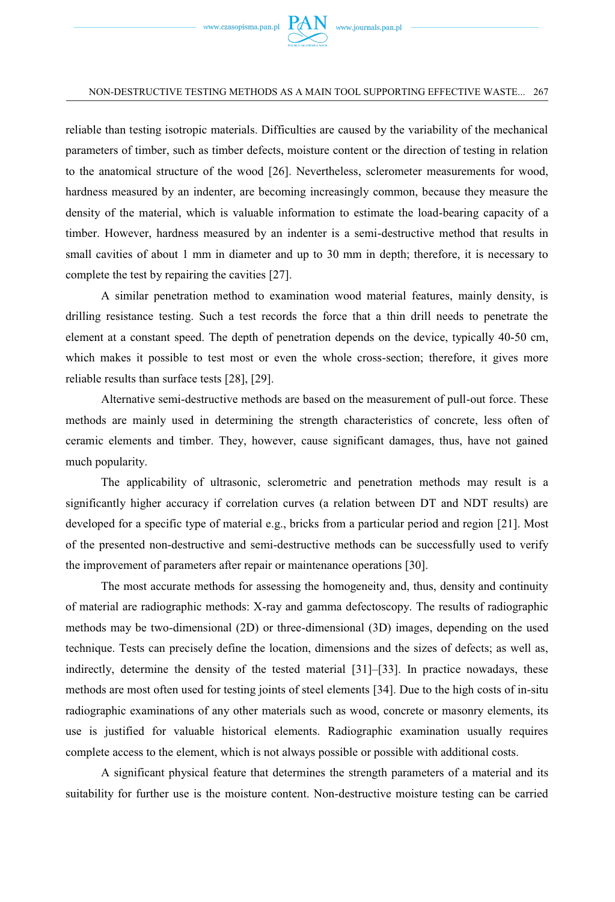

reliable than testing isotropic materials. Difficulties are caused by the variability of the mechanical parameters of timber, such as timber defects, moisture content or the direction of testing in relation to the anatomical structure of the wood [26]. Nevertheless, sclerometer measurements for wood, hardness measured by an indenter, are becoming increasingly common, because they measure the density of the material, which is valuable information to estimate the load-bearing capacity of a timber. However, hardness measured by an indenter is a semi-destructive method that results in small cavities of about 1 mm in diameter and up to 30 mm in depth; therefore, it is necessary to complete the test by repairing the cavities [27].

A similar penetration method to examination wood material features, mainly density, is drilling resistance testing. Such a test records the force that a thin drill needs to penetrate the element at a constant speed. The depth of penetration depends on the device, typically 40-50 cm, which makes it possible to test most or even the whole cross-section; therefore, it gives more reliable results than surface tests [28], [29].

Alternative semi-destructive methods are based on the measurement of pull-out force. These methods are mainly used in determining the strength characteristics of concrete, less often of ceramic elements and timber. They, however, cause significant damages, thus, have not gained much popularity.

The applicability of ultrasonic, sclerometric and penetration methods may result is a significantly higher accuracy if correlation curves (a relation between DT and NDT results) are developed for a specific type of material e.g., bricks from a particular period and region [21]. Most of the presented non-destructive and semi-destructive methods can be successfully used to verify the improvement of parameters after repair or maintenance operations [30].

The most accurate methods for assessing the homogeneity and, thus, density and continuity of material are radiographic methods: X-ray and gamma defectoscopy. The results of radiographic methods may be two-dimensional (2D) or three-dimensional (3D) images, depending on the used technique. Tests can precisely define the location, dimensions and the sizes of defects; as well as, indirectly, determine the density of the tested material [31]–[33]. In practice nowadays, these methods are most often used for testing joints of steel elements [34]. Due to the high costs of in-situ radiographic examinations of any other materials such as wood, concrete or masonry elements, its use is justified for valuable historical elements. Radiographic examination usually requires complete access to the element, which is not always possible or possible with additional costs.

A significant physical feature that determines the strength parameters of a material and its suitability for further use is the moisture content. Non-destructive moisture testing can be carried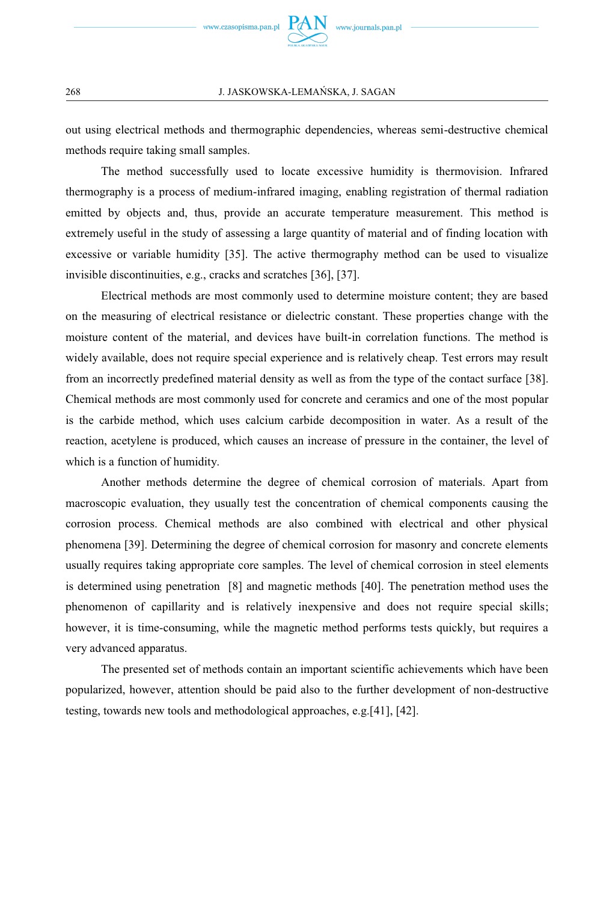

out using electrical methods and thermographic dependencies, whereas semi-destructive chemical methods require taking small samples.

The method successfully used to locate excessive humidity is thermovision. Infrared thermography is a process of medium-infrared imaging, enabling registration of thermal radiation emitted by objects and, thus, provide an accurate temperature measurement. This method is extremely useful in the study of assessing a large quantity of material and of finding location with excessive or variable humidity [35]. The active thermography method can be used to visualize invisible discontinuities, e.g., cracks and scratches [36], [37].

Electrical methods are most commonly used to determine moisture content; they are based on the measuring of electrical resistance or dielectric constant. These properties change with the moisture content of the material, and devices have built-in correlation functions. The method is widely available, does not require special experience and is relatively cheap. Test errors may result from an incorrectly predefined material density as well as from the type of the contact surface [38]. Chemical methods are most commonly used for concrete and ceramics and one of the most popular is the carbide method, which uses calcium carbide decomposition in water. As a result of the reaction, acetylene is produced, which causes an increase of pressure in the container, the level of which is a function of humidity.

Another methods determine the degree of chemical corrosion of materials. Apart from macroscopic evaluation, they usually test the concentration of chemical components causing the corrosion process. Chemical methods are also combined with electrical and other physical phenomena [39]. Determining the degree of chemical corrosion for masonry and concrete elements usually requires taking appropriate core samples. The level of chemical corrosion in steel elements is determined using penetration [8] and magnetic methods [40]. The penetration method uses the phenomenon of capillarity and is relatively inexpensive and does not require special skills; however, it is time-consuming, while the magnetic method performs tests quickly, but requires a very advanced apparatus.

The presented set of methods contain an important scientific achievements which have been popularized, however, attention should be paid also to the further development of non-destructive testing, towards new tools and methodological approaches, e.g.[41], [42].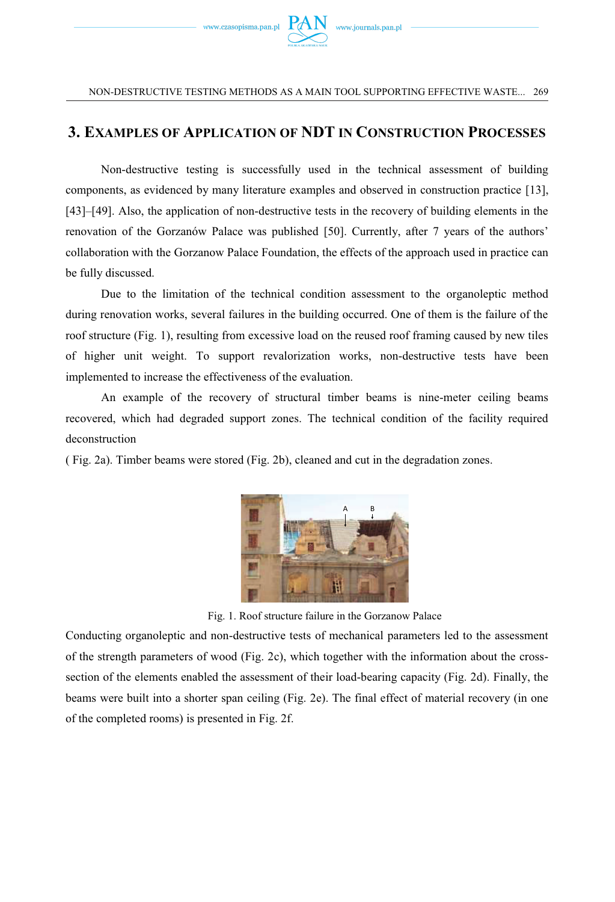

### **3. EXAMPLES OF APPLICATION OF NDT IN CONSTRUCTION PROCESSES**

Non-destructive testing is successfully used in the technical assessment of building components, as evidenced by many literature examples and observed in construction practice [13], [43]–[49]. Also, the application of non-destructive tests in the recovery of building elements in the renovation of the Gorzanów Palace was published [50]. Currently, after 7 years of the authors' collaboration with the Gorzanow Palace Foundation, the effects of the approach used in practice can be fully discussed.

Due to the limitation of the technical condition assessment to the organoleptic method during renovation works, several failures in the building occurred. One of them is the failure of the roof structure (Fig. 1), resulting from excessive load on the reused roof framing caused by new tiles of higher unit weight. To support revalorization works, non-destructive tests have been implemented to increase the effectiveness of the evaluation.

An example of the recovery of structural timber beams is nine-meter ceiling beams recovered, which had degraded support zones. The technical condition of the facility required deconstruction

( Fig. 2a). Timber beams were stored (Fig. 2b), cleaned and cut in the degradation zones.



Fig. 1. Roof structure failure in the Gorzanow Palace

Conducting organoleptic and non-destructive tests of mechanical parameters led to the assessment of the strength parameters of wood (Fig. 2c), which together with the information about the crosssection of the elements enabled the assessment of their load-bearing capacity (Fig. 2d). Finally, the beams were built into a shorter span ceiling (Fig. 2e). The final effect of material recovery (in one of the completed rooms) is presented in Fig. 2f.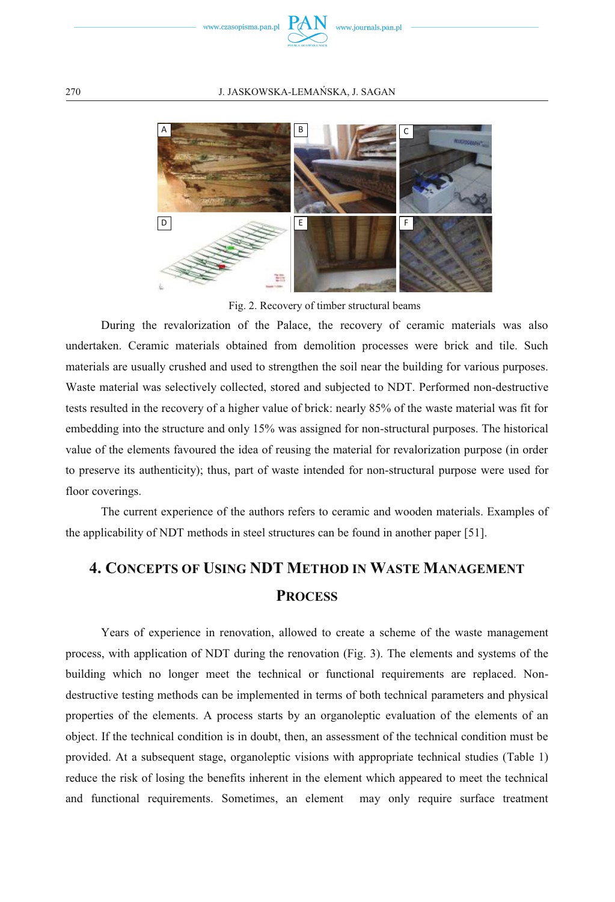



Fig. 2. Recovery of timber structural beams

During the revalorization of the Palace, the recovery of ceramic materials was also undertaken. Ceramic materials obtained from demolition processes were brick and tile. Such materials are usually crushed and used to strengthen the soil near the building for various purposes. Waste material was selectively collected, stored and subjected to NDT. Performed non-destructive tests resulted in the recovery of a higher value of brick: nearly 85% of the waste material was fit for embedding into the structure and only 15% was assigned for non-structural purposes. The historical value of the elements favoured the idea of reusing the material for revalorization purpose (in order to preserve its authenticity); thus, part of waste intended for non-structural purpose were used for floor coverings.

The current experience of the authors refers to ceramic and wooden materials. Examples of the applicability of NDT methods in steel structures can be found in another paper [51].

## **4. CONCEPTS OF USING NDT METHOD IN WASTE MANAGEMENT PROCESS**

Years of experience in renovation, allowed to create a scheme of the waste management process, with application of NDT during the renovation (Fig. 3). The elements and systems of the building which no longer meet the technical or functional requirements are replaced. Nondestructive testing methods can be implemented in terms of both technical parameters and physical properties of the elements. A process starts by an organoleptic evaluation of the elements of an object. If the technical condition is in doubt, then, an assessment of the technical condition must be provided. At a subsequent stage, organoleptic visions with appropriate technical studies (Table 1) reduce the risk of losing the benefits inherent in the element which appeared to meet the technical and functional requirements. Sometimes, an element may only require surface treatment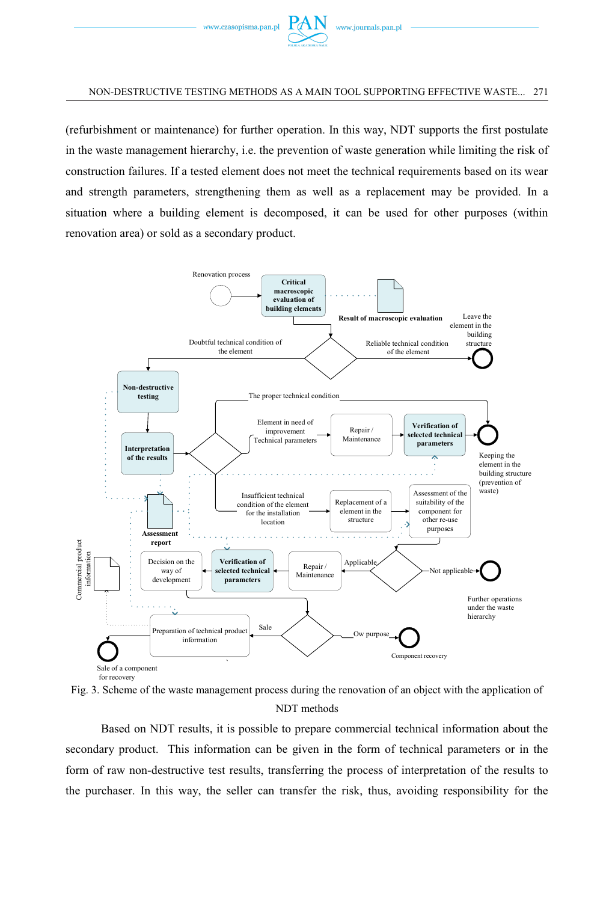

(refurbishment or maintenance) for further operation. In this way, NDT supports the first postulate in the waste management hierarchy, i.e. the prevention of waste generation while limiting the risk of construction failures. If a tested element does not meet the technical requirements based on its wear and strength parameters, strengthening them as well as a replacement may be provided. In a situation where a building element is decomposed, it can be used for other purposes (within renovation area) or sold as a secondary product.



Fig. 3. Scheme of the waste management process during the renovation of an object with the application of NDT methods

Based on NDT results, it is possible to prepare commercial technical information about the secondary product. This information can be given in the form of technical parameters or in the form of raw non-destructive test results, transferring the process of interpretation of the results to the purchaser. In this way, the seller can transfer the risk, thus, avoiding responsibility for the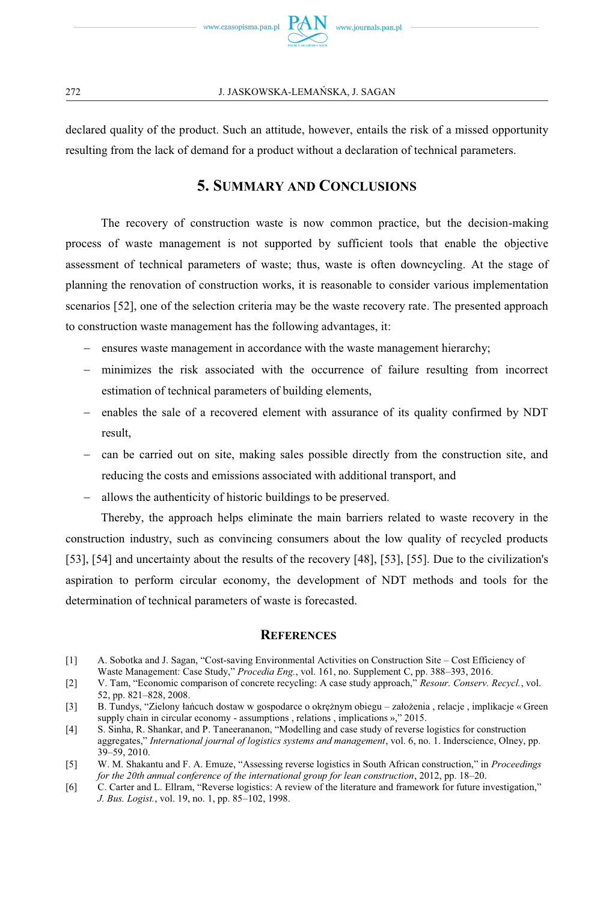

declared quality of the product. Such an attitude, however, entails the risk of a missed opportunity resulting from the lack of demand for a product without a declaration of technical parameters.

### **5. SUMMARY AND CONCLUSIONS**

The recovery of construction waste is now common practice, but the decision-making process of waste management is not supported by sufficient tools that enable the objective assessment of technical parameters of waste; thus, waste is often downcycling. At the stage of planning the renovation of construction works, it is reasonable to consider various implementation scenarios [52], one of the selection criteria may be the waste recovery rate. The presented approach to construction waste management has the following advantages, it:

- ensures waste management in accordance with the waste management hierarchy;
- minimizes the risk associated with the occurrence of failure resulting from incorrect estimation of technical parameters of building elements,
- enables the sale of a recovered element with assurance of its quality confirmed by NDT result,
- can be carried out on site, making sales possible directly from the construction site, and reducing the costs and emissions associated with additional transport, and
- allows the authenticity of historic buildings to be preserved.

Thereby, the approach helps eliminate the main barriers related to waste recovery in the construction industry, such as convincing consumers about the low quality of recycled products [53], [54] and uncertainty about the results of the recovery [48], [53], [55]. Due to the civilization's aspiration to perform circular economy, the development of NDT methods and tools for the determination of technical parameters of waste is forecasted.

#### **REFERENCES**

- [1] A. Sobotka and J. Sagan, "Cost-saving Environmental Activities on Construction Site Cost Efficiency of Waste Management: Case Study," *Procedia Eng.*, vol. 161, no. Supplement C, pp. 388–393, 2016.
- [2] V. Tam, "Economic comparison of concrete recycling: A case study approach," *Resour. Conserv. Recycl.*, vol. 52, pp. 821–828, 2008.
- [3] B. Tundys, "Zielony łańcuch dostaw w gospodarce o okrężnym obiegu założenia , relacje , implikacje « Green supply chain in circular economy - assumptions, relations, implications  $\frac{1}{2}$ , 2015.
- [4] S. Sinha, R. Shankar, and P. Taneerananon, "Modelling and case study of reverse logistics for construction aggregates," *International journal of logistics systems and management*, vol. 6, no. 1. Inderscience, Olney, pp. 39–59, 2010.
- [5] W. M. Shakantu and F. A. Emuze, "Assessing reverse logistics in South African construction," in *Proceedings for the 20th annual conference of the international group for lean construction*, 2012, pp. 18–20.
- [6] C. Carter and L. Ellram, "Reverse logistics: A review of the literature and framework for future investigation," *J. Bus. Logist.*, vol. 19, no. 1, pp. 85–102, 1998.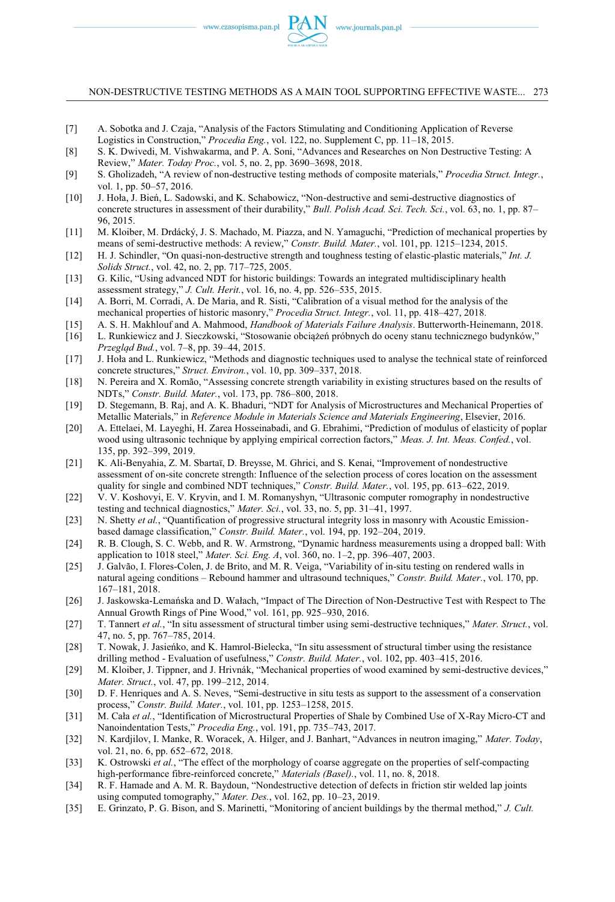- [7] A. Sobotka and J. Czaja, "Analysis of the Factors Stimulating and Conditioning Application of Reverse Logistics in Construction," *Procedia Eng.*, vol. 122, no. Supplement C, pp. 11–18, 2015.
- [8] S. K. Dwivedi, M. Vishwakarma, and P. A. Soni, "Advances and Researches on Non Destructive Testing: A Review," *Mater. Today Proc.*, vol. 5, no. 2, pp. 3690–3698, 2018.
- [9] S. Gholizadeh, "A review of non-destructive testing methods of composite materials," *Procedia Struct. Integr.*, vol. 1, pp. 50–57, 2016.
- [10] J. Hoła, J. Bień, L. Sadowski, and K. Schabowicz, "Non-destructive and semi-destructive diagnostics of concrete structures in assessment of their durability," *Bull. Polish Acad. Sci. Tech. Sci.*, vol. 63, no. 1, pp. 87– 96, 2015.
- [11] M. Kloiber, M. Drdácký, J. S. Machado, M. Piazza, and N. Yamaguchi, "Prediction of mechanical properties by means of semi-destructive methods: A review," *Constr. Build. Mater.*, vol. 101, pp. 1215–1234, 2015.
- [12] H. J. Schindler, "On quasi-non-destructive strength and toughness testing of elastic-plastic materials," *Int. J. Solids Struct.*, vol. 42, no. 2, pp. 717–725, 2005.
- [13] G. Kilic, "Using advanced NDT for historic buildings: Towards an integrated multidisciplinary health assessment strategy," *J. Cult. Herit.*, vol. 16, no. 4, pp. 526–535, 2015.
- [14] A. Borri, M. Corradi, A. De Maria, and R. Sisti, "Calibration of a visual method for the analysis of the mechanical properties of historic masonry," *Procedia Struct. Integr.*, vol. 11, pp. 418–427, 2018.
- [15] A. S. H. Makhlouf and A. Mahmood, *Handbook of Materials Failure Analysis*. Butterworth-Heinemann, 2018.
- [16] L. Runkiewicz and J. Sieczkowski, "Stosowanie obciążeń próbnych do oceny stanu technicznego budynków," *Przegląd Bud.*, vol. 7–8, pp. 39–44, 2015.
- [17] J. Hoła and L. Runkiewicz, "Methods and diagnostic techniques used to analyse the technical state of reinforced concrete structures," *Struct. Environ.*, vol. 10, pp. 309–337, 2018.
- [18] N. Pereira and X. Romão, "Assessing concrete strength variability in existing structures based on the results of NDTs," *Constr. Build. Mater.*, vol. 173, pp. 786–800, 2018.
- [19] D. Stegemann, B. Raj, and A. K. Bhaduri, "NDT for Analysis of Microstructures and Mechanical Properties of Metallic Materials," in *Reference Module in Materials Science and Materials Engineering*, Elsevier, 2016.
- [20] A. Ettelaei, M. Layeghi, H. Zarea Hosseinabadi, and G. Ebrahimi, "Prediction of modulus of elasticity of poplar wood using ultrasonic technique by applying empirical correction factors," *Meas. J. Int. Meas. Confed.*, vol. 135, pp. 392–399, 2019.
- [21] K. Ali-Benyahia, Z. M. Sbartaï, D. Breysse, M. Ghrici, and S. Kenai, "Improvement of nondestructive assessment of on-site concrete strength: Influence of the selection process of cores location on the assessment quality for single and combined NDT techniques," *Constr. Build. Mater.*, vol. 195, pp. 613–622, 2019.
- [22] V. V. Koshovyi, E. V. Kryvin, and I. M. Romanyshyn, "Ultrasonic computer romography in nondestructive testing and technical diagnostics," *Mater. Sci.*, vol. 33, no. 5, pp. 31–41, 1997.
- [23] N. Shetty *et al.*, "Quantification of progressive structural integrity loss in masonry with Acoustic Emissionbased damage classification," *Constr. Build. Mater.*, vol. 194, pp. 192–204, 2019.
- [24] R. B. Clough, S. C. Webb, and R. W. Armstrong, "Dynamic hardness measurements using a dropped ball: With application to 1018 steel," *Mater. Sci. Eng. A*, vol. 360, no. 1–2, pp. 396–407, 2003.
- [25] J. Galvão, I. Flores-Colen, J. de Brito, and M. R. Veiga, "Variability of in-situ testing on rendered walls in natural ageing conditions – Rebound hammer and ultrasound techniques," *Constr. Build. Mater.*, vol. 170, pp. 167–181, 2018.
- [26] J. Jaskowska-Lemańska and D. Wałach, "Impact of The Direction of Non-Destructive Test with Respect to The Annual Growth Rings of Pine Wood," vol. 161, pp. 925–930, 2016.
- [27] T. Tannert *et al.*, "In situ assessment of structural timber using semi-destructive techniques," *Mater. Struct.*, vol. 47, no. 5, pp. 767–785, 2014.
- [28] T. Nowak, J. Jasieńko, and K. Hamrol-Bielecka, "In situ assessment of structural timber using the resistance drilling method - Evaluation of usefulness," *Constr. Build. Mater.*, vol. 102, pp. 403–415, 2016.
- [29] M. Kloiber, J. Tippner, and J. Hrivnák, "Mechanical properties of wood examined by semi-destructive devices," *Mater. Struct.*, vol. 47, pp. 199–212, 2014.
- [30] D. F. Henriques and A. S. Neves, "Semi-destructive in situ tests as support to the assessment of a conservation process," *Constr. Build. Mater.*, vol. 101, pp. 1253–1258, 2015.
- [31] M. Cała *et al.*, "Identification of Microstructural Properties of Shale by Combined Use of X-Ray Micro-CT and Nanoindentation Tests," *Procedia Eng.*, vol. 191, pp. 735–743, 2017.
- [32] N. Kardjilov, I. Manke, R. Woracek, A. Hilger, and J. Banhart, "Advances in neutron imaging," *Mater. Today*, vol. 21, no. 6, pp. 652–672, 2018.
- [33] K. Ostrowski *et al.*, "The effect of the morphology of coarse aggregate on the properties of self-compacting high-performance fibre-reinforced concrete," *Materials (Basel).*, vol. 11, no. 8, 2018.
- [34] R. F. Hamade and A. M. R. Baydoun, "Nondestructive detection of defects in friction stir welded lap joints using computed tomography," *Mater. Des.*, vol. 162, pp. 10–23, 2019.
- [35] E. Grinzato, P. G. Bison, and S. Marinetti, "Monitoring of ancient buildings by the thermal method," *J. Cult.*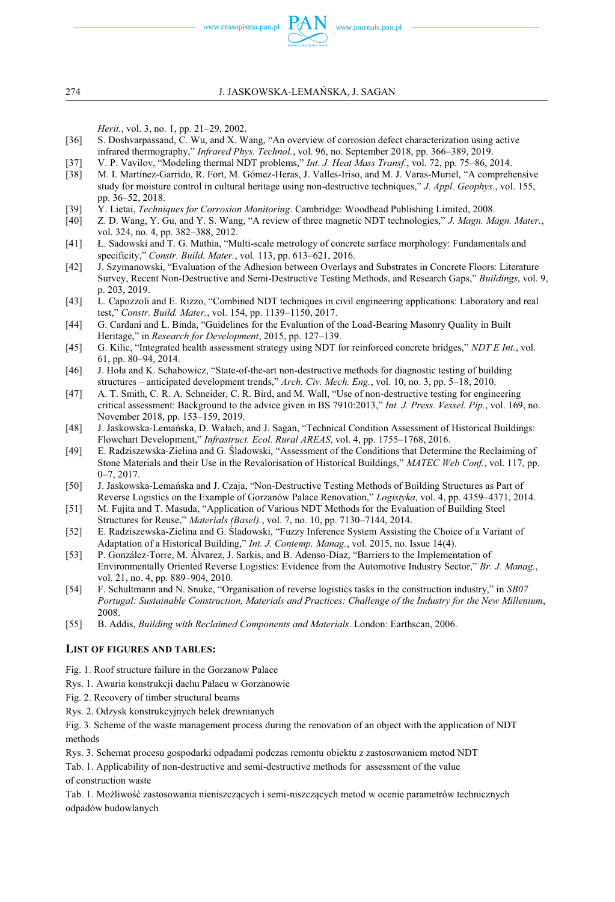www.czasopisma.pan.pl  $PAN$ 

*Herit.*, vol. 3, no. 1, pp. 21–29, 2002.

- [36] S. Doshvarpassand, C. Wu, and X. Wang, "An overview of corrosion defect characterization using active infrared thermography," *Infrared Phys. Technol.*, vol. 96, no. September 2018, pp. 366–389, 2019.
- [37] V. P. Vavilov, "Modeling thermal NDT problems," *Int. J. Heat Mass Transf.*, vol. 72, pp. 75–86, 2014.
- [38] M. I. Martínez-Garrido, R. Fort, M. Gómez-Heras, J. Valles-Iriso, and M. J. Varas-Muriel, "A comprehensive study for moisture control in cultural heritage using non-destructive techniques," *J. Appl. Geophys.*, vol. 155, pp. 36–52, 2018.
- [39] Y. Lietai, *Techniques for Corrosion Monitoring*. Cambridge: Woodhead Publishing Limited, 2008.
- [40] Z. D. Wang, Y. Gu, and Y. S. Wang, "A review of three magnetic NDT technologies," *J. Magn. Magn. Mater.*, vol. 324, no. 4, pp. 382–388, 2012.
- [41] Ł. Sadowski and T. G. Mathia, "Multi-scale metrology of concrete surface morphology: Fundamentals and specificity," *Constr. Build. Mater.*, vol. 113, pp. 613–621, 2016.
- [42] J. Szymanowski, "Evaluation of the Adhesion between Overlays and Substrates in Concrete Floors: Literature Survey, Recent Non-Destructive and Semi-Destructive Testing Methods, and Research Gaps," *Buildings*, vol. 9, p. 203, 2019.
- [43] L. Capozzoli and E. Rizzo, "Combined NDT techniques in civil engineering applications: Laboratory and real test," *Constr. Build. Mater.*, vol. 154, pp. 1139–1150, 2017.
- [44] G. Cardani and L. Binda, "Guidelines for the Evaluation of the Load-Bearing Masonry Quality in Built Heritage," in *Research for Development*, 2015, pp. 127–139.
- [45] G. Kilic, "Integrated health assessment strategy using NDT for reinforced concrete bridges," *NDT E Int.*, vol. 61, pp. 80–94, 2014.
- [46] J. Hoła and K. Schabowicz, "State-of-the-art non-destructive methods for diagnostic testing of building structures – anticipated development trends," *Arch. Civ. Mech. Eng.*, vol. 10, no. 3, pp. 5–18, 2010.
- [47] A. T. Smith, C. R. A. Schneider, C. R. Bird, and M. Wall, "Use of non-destructive testing for engineering critical assessment: Background to the advice given in BS 7910:2013," *Int. J. Press. Vessel. Pip.*, vol. 169, no. November 2018, pp. 153–159, 2019.
- [48] J. Jaskowska-Lemańska, D. Wałach, and J. Sagan, "Technical Condition Assessment of Historical Buildings: Flowchart Development," *Infrastruct. Ecol. Rural AREAS*, vol. 4, pp. 1755–1768, 2016.
- [49] E. Radziszewska-Zielina and G. Śladowski, "Assessment of the Conditions that Determine the Reclaiming of Stone Materials and their Use in the Revalorisation of Historical Buildings," *MATEC Web Conf.*, vol. 117, pp. 0–7, 2017.
- [50] J. Jaskowska-Lemańska and J. Czaja, "Non-Destructive Testing Methods of Building Structures as Part of Reverse Logistics on the Example of Gorzanów Palace Renovation," *Logistyka*, vol. 4, pp. 4359–4371, 2014.
- [51] M. Fujita and T. Masuda, "Application of Various NDT Methods for the Evaluation of Building Steel Structures for Reuse," *Materials (Basel).*, vol. 7, no. 10, pp. 7130–7144, 2014.
- [52] E. Radziszewska-Zielina and G. Śladowski, "Fuzzy Inference System Assisting the Choice of a Variant of Adaptation of a Historical Building," *Int. J. Contemp. Manag.*, vol. 2015, no. Issue 14(4).
- [53] P. González-Torre, M. Álvarez, J. Sarkis, and B. Adenso-Díaz, "Barriers to the Implementation of Environmentally Oriented Reverse Logistics: Evidence from the Automotive Industry Sector," *Br. J. Manag.*, vol. 21, no. 4, pp. 889–904, 2010.
- [54] F. Schultmann and N. Snuke, "Organisation of reverse logistics tasks in the construction industry," in *SB07 Portugal: Sustainable Construction, Materials and Practices: Challenge of the Industry for the New Millenium*, 2008.
- [55] B. Addis, *Building with Reclaimed Components and Materials*. London: Earthscan, 2006.

#### **LIST OF FIGURES AND TABLES:**

- Fig. 1. Roof structure failure in the Gorzanow Palace
- Rys. 1. Awaria konstrukcji dachu Pałacu w Gorzanowie
- Fig. 2. Recovery of timber structural beams
- Rys. 2. Odzysk konstrukcyjnych belek drewnianych

Fig. 3. Scheme of the waste management process during the renovation of an object with the application of NDT methods

Rys. 3. Schemat procesu gospodarki odpadami podczas remontu obiektu z zastosowaniem metod NDT

Tab. 1. Applicability of non-destructive and semi-destructive methods for assessment of the value of construction waste

Tab. 1. Możliwość zastosowania nieniszczących i semi-niszczących metod w ocenie parametrów technicznych odpadów budowlanych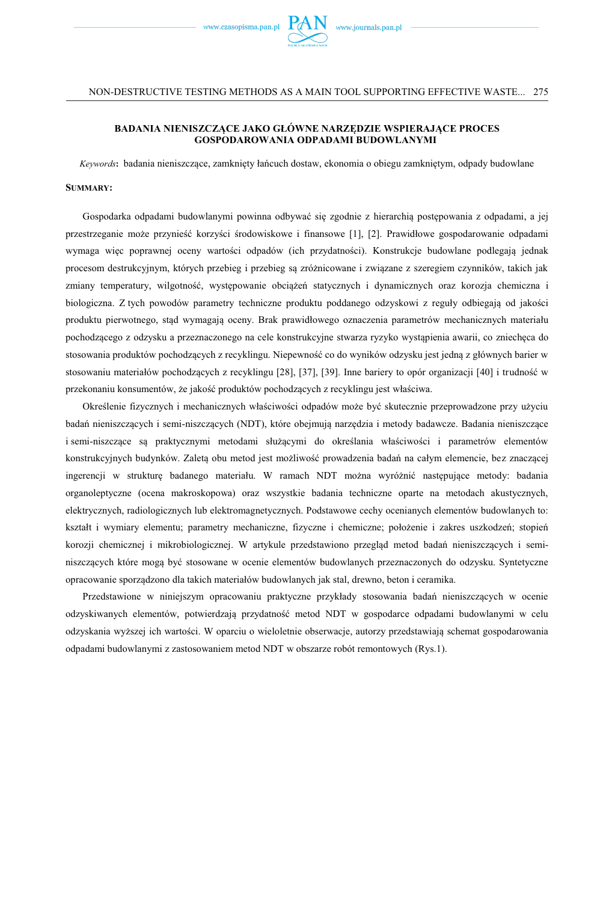

#### **BADANIA NIENISZCZĄCE JAKO GŁÓWNE NARZĘDZIE WSPIERAJĄCE PROCES GOSPODAROWANIA ODPADAMI BUDOWLANYMI**

*Keywords***:** badania nieniszczące, zamknięty łańcuch dostaw, ekonomia o obiegu zamkniętym, odpady budowlane

#### **SUMMARY:**

Gospodarka odpadami budowlanymi powinna odbywać się zgodnie z hierarchią postępowania z odpadami, a jej przestrzeganie może przynieść korzyści środowiskowe i finansowe [1], [2]. Prawidłowe gospodarowanie odpadami wymaga więc poprawnej oceny wartości odpadów (ich przydatności). Konstrukcje budowlane podlegają jednak procesom destrukcyjnym, których przebieg i przebieg są zróżnicowane i związane z szeregiem czynników, takich jak zmiany temperatury, wilgotność, występowanie obciążeń statycznych i dynamicznych oraz korozja chemiczna i biologiczna. Z tych powodów parametry techniczne produktu poddanego odzyskowi z reguły odbiegają od jakości produktu pierwotnego, stąd wymagają oceny. Brak prawidłowego oznaczenia parametrów mechanicznych materiału pochodzącego z odzysku a przeznaczonego na cele konstrukcyjne stwarza ryzyko wystąpienia awarii, co zniechęca do stosowania produktów pochodzących z recyklingu. Niepewność co do wyników odzysku jest jedną z głównych barier w stosowaniu materiałów pochodzących z recyklingu [28], [37], [39]. Inne bariery to opór organizacji [40] i trudność w przekonaniu konsumentów, że jakość produktów pochodzących z recyklingu jest właściwa.

Określenie fizycznych i mechanicznych właściwości odpadów może być skutecznie przeprowadzone przy użyciu badań nieniszczących i semi-niszczących (NDT), które obejmują narzędzia i metody badawcze. Badania nieniszczące i semi-niszczące są praktycznymi metodami służącymi do określania właściwości i parametrów elementów konstrukcyjnych budynków. Zaletą obu metod jest możliwość prowadzenia badań na całym elemencie, bez znaczącej ingerencji w strukturę badanego materiału. W ramach NDT można wyróżnić następujące metody: badania organoleptyczne (ocena makroskopowa) oraz wszystkie badania techniczne oparte na metodach akustycznych, elektrycznych, radiologicznych lub elektromagnetycznych. Podstawowe cechy ocenianych elementów budowlanych to: kształt i wymiary elementu; parametry mechaniczne, fizyczne i chemiczne; położenie i zakres uszkodzeń; stopień korozji chemicznej i mikrobiologicznej. W artykule przedstawiono przegląd metod badań nieniszczących i seminiszczących które mogą być stosowane w ocenie elementów budowlanych przeznaczonych do odzysku. Syntetyczne opracowanie sporządzono dla takich materiałów budowlanych jak stal, drewno, beton i ceramika.

Przedstawione w niniejszym opracowaniu praktyczne przykłady stosowania badań nieniszczących w ocenie odzyskiwanych elementów, potwierdzają przydatność metod NDT w gospodarce odpadami budowlanymi w celu odzyskania wyższej ich wartości. W oparciu o wieloletnie obserwacje, autorzy przedstawiają schemat gospodarowania odpadami budowlanymi z zastosowaniem metod NDT w obszarze robót remontowych (Rys.1).